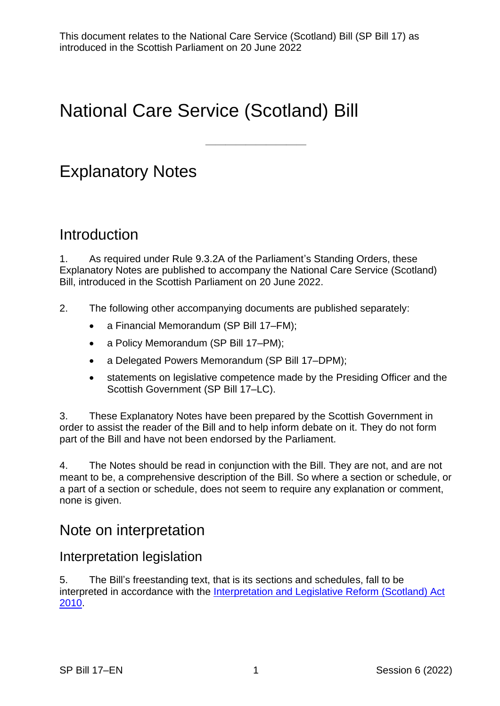# National Care Service (Scotland) Bill

# Explanatory Notes

## **Introduction**

1. As required under Rule 9.3.2A of the Parliament's Standing Orders, these Explanatory Notes are published to accompany the National Care Service (Scotland) Bill, introduced in the Scottish Parliament on 20 June 2022.

——————————

- 2. The following other accompanying documents are published separately:
	- a Financial Memorandum (SP Bill 17–FM);
	- a Policy Memorandum (SP Bill 17–PM);
	- a Delegated Powers Memorandum (SP Bill 17–DPM);
	- statements on legislative competence made by the Presiding Officer and the Scottish Government (SP Bill 17–LC).

3. These Explanatory Notes have been prepared by the Scottish Government in order to assist the reader of the Bill and to help inform debate on it. They do not form part of the Bill and have not been endorsed by the Parliament.

4. The Notes should be read in conjunction with the Bill. They are not, and are not meant to be, a comprehensive description of the Bill. So where a section or schedule, or a part of a section or schedule, does not seem to require any explanation or comment, none is given.

## Note on interpretation

#### Interpretation legislation

5. The Bill's freestanding text, that is its sections and schedules, fall to be interpreted in accordance with the [Interpretation and Legislative Reform \(Scotland\) Act](https://www.legislation.gov.uk/asp/2010/10/contents)  [2010.](https://www.legislation.gov.uk/asp/2010/10/contents)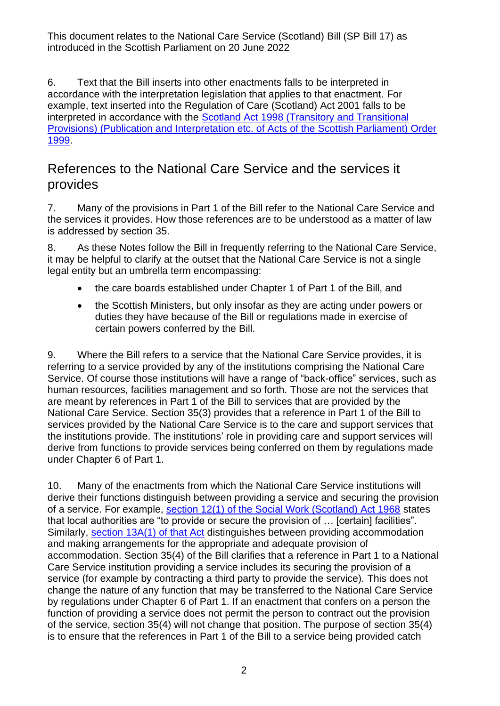6. Text that the Bill inserts into other enactments falls to be interpreted in accordance with the interpretation legislation that applies to that enactment. For example, text inserted into the Regulation of Care (Scotland) Act 2001 falls to be interpreted in accordance with the [Scotland Act 1998 \(Transitory and Transitional](https://www.legislation.gov.uk/uksi/1999/1379/contents/made)  [Provisions\) \(Publication and Interpretation etc. of Acts of the Scottish Parliament\) Order](https://www.legislation.gov.uk/uksi/1999/1379/contents/made)  [1999.](https://www.legislation.gov.uk/uksi/1999/1379/contents/made)

## References to the National Care Service and the services it provides

<span id="page-1-0"></span>7. Many of the provisions in Part 1 of the Bill refer to the National Care Service and the services it provides. How those references are to be understood as a matter of law is addressed by section 35.

8. As these Notes follow the Bill in frequently referring to the National Care Service, it may be helpful to clarify at the outset that the National Care Service is not a single legal entity but an umbrella term encompassing:

- the care boards established under Chapter 1 of Part 1 of the Bill, and
- the Scottish Ministers, but only insofar as they are acting under powers or duties they have because of the Bill or regulations made in exercise of certain powers conferred by the Bill.

9. Where the Bill refers to a service that the National Care Service provides, it is referring to a service provided by any of the institutions comprising the National Care Service. Of course those institutions will have a range of "back-office" services, such as human resources, facilities management and so forth. Those are not the services that are meant by references in Part 1 of the Bill to services that are provided by the National Care Service. Section 35(3) provides that a reference in Part 1 of the Bill to services provided by the National Care Service is to the care and support services that the institutions provide. The institutions' role in providing care and support services will derive from functions to provide services being conferred on them by regulations made under Chapter 6 of Part 1.

<span id="page-1-1"></span>10. Many of the enactments from which the National Care Service institutions will derive their functions distinguish between providing a service and securing the provision of a service. For example, [section 12\(1\) of the Social Work \(Scotland\) Act 1968](https://www.legislation.gov.uk/ukpga/1968/49/section/12) states that local authorities are "to provide or secure the provision of … [certain] facilities". Similarly, [section 13A\(1\) of that Act](https://www.legislation.gov.uk/ukpga/1968/49/section/13A) distinguishes between providing accommodation and making arrangements for the appropriate and adequate provision of accommodation. Section 35(4) of the Bill clarifies that a reference in Part 1 to a National Care Service institution providing a service includes its securing the provision of a service (for example by contracting a third party to provide the service). This does not change the nature of any function that may be transferred to the National Care Service by regulations under Chapter 6 of Part 1. If an enactment that confers on a person the function of providing a service does not permit the person to contract out the provision of the service, section 35(4) will not change that position. The purpose of section 35(4) is to ensure that the references in Part 1 of the Bill to a service being provided catch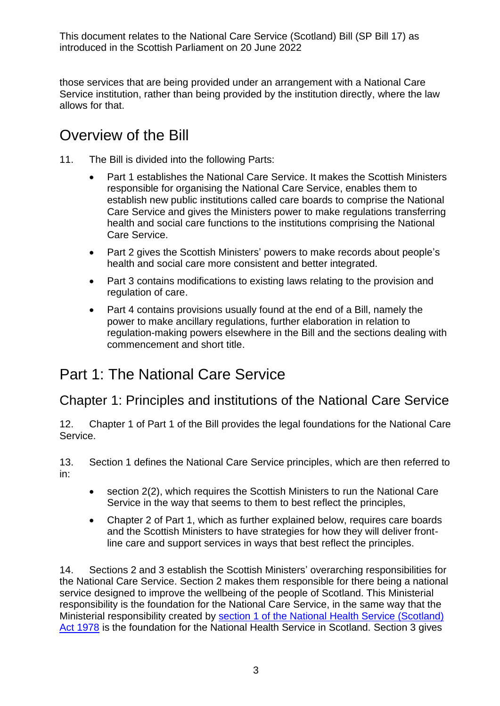those services that are being provided under an arrangement with a National Care Service institution, rather than being provided by the institution directly, where the law allows for that.

## Overview of the Bill

- 11. The Bill is divided into the following Parts:
	- Part 1 establishes the National Care Service. It makes the Scottish Ministers responsible for organising the National Care Service, enables them to establish new public institutions called care boards to comprise the National Care Service and gives the Ministers power to make regulations transferring health and social care functions to the institutions comprising the National Care Service.
	- Part 2 gives the Scottish Ministers' powers to make records about people's health and social care more consistent and better integrated.
	- Part 3 contains modifications to existing laws relating to the provision and regulation of care.
	- Part 4 contains provisions usually found at the end of a Bill, namely the power to make ancillary regulations, further elaboration in relation to regulation-making powers elsewhere in the Bill and the sections dealing with commencement and short title.

## Part 1: The National Care Service

## Chapter 1: Principles and institutions of the National Care Service

12. Chapter 1 of Part 1 of the Bill provides the legal foundations for the National Care Service.

13. Section 1 defines the National Care Service principles, which are then referred to in:

- section 2(2), which requires the Scottish Ministers to run the National Care Service in the way that seems to them to best reflect the principles,
- Chapter 2 of Part 1, which as further explained below, requires care boards and the Scottish Ministers to have strategies for how they will deliver frontline care and support services in ways that best reflect the principles.

14. Sections 2 and 3 establish the Scottish Ministers' overarching responsibilities for the National Care Service. Section 2 makes them responsible for there being a national service designed to improve the wellbeing of the people of Scotland. This Ministerial responsibility is the foundation for the National Care Service, in the same way that the Ministerial responsibility created by [section 1 of the National Health Service \(Scotland\)](https://www.legislation.gov.uk/ukpga/1978/29/section/1)  [Act 1978](https://www.legislation.gov.uk/ukpga/1978/29/section/1) is the foundation for the National Health Service in Scotland. Section 3 gives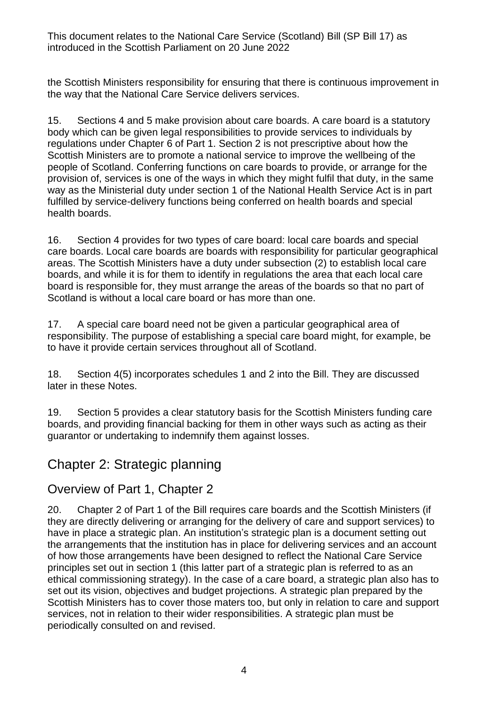the Scottish Ministers responsibility for ensuring that there is continuous improvement in the way that the National Care Service delivers services.

15. Sections 4 and 5 make provision about care boards. A care board is a statutory body which can be given legal responsibilities to provide services to individuals by regulations under Chapter 6 of Part 1. Section 2 is not prescriptive about how the Scottish Ministers are to promote a national service to improve the wellbeing of the people of Scotland. Conferring functions on care boards to provide, or arrange for the provision of, services is one of the ways in which they might fulfil that duty, in the same way as the Ministerial duty under section 1 of the National Health Service Act is in part fulfilled by service-delivery functions being conferred on health boards and special health boards.

<span id="page-3-0"></span>16. Section 4 provides for two types of care board: local care boards and special care boards. Local care boards are boards with responsibility for particular geographical areas. The Scottish Ministers have a duty under subsection (2) to establish local care boards, and while it is for them to identify in regulations the area that each local care board is responsible for, they must arrange the areas of the boards so that no part of Scotland is without a local care board or has more than one.

<span id="page-3-1"></span>17. A special care board need not be given a particular geographical area of responsibility. The purpose of establishing a special care board might, for example, be to have it provide certain services throughout all of Scotland.

18. Section 4(5) incorporates schedules 1 and 2 into the Bill. They are discussed later in these Notes.

19. Section 5 provides a clear statutory basis for the Scottish Ministers funding care boards, and providing financial backing for them in other ways such as acting as their guarantor or undertaking to indemnify them against losses.

## Chapter 2: Strategic planning

#### Overview of Part 1, Chapter 2

20. Chapter 2 of Part 1 of the Bill requires care boards and the Scottish Ministers (if they are directly delivering or arranging for the delivery of care and support services) to have in place a strategic plan. An institution's strategic plan is a document setting out the arrangements that the institution has in place for delivering services and an account of how those arrangements have been designed to reflect the National Care Service principles set out in section 1 (this latter part of a strategic plan is referred to as an ethical commissioning strategy). In the case of a care board, a strategic plan also has to set out its vision, objectives and budget projections. A strategic plan prepared by the Scottish Ministers has to cover those maters too, but only in relation to care and support services, not in relation to their wider responsibilities. A strategic plan must be periodically consulted on and revised.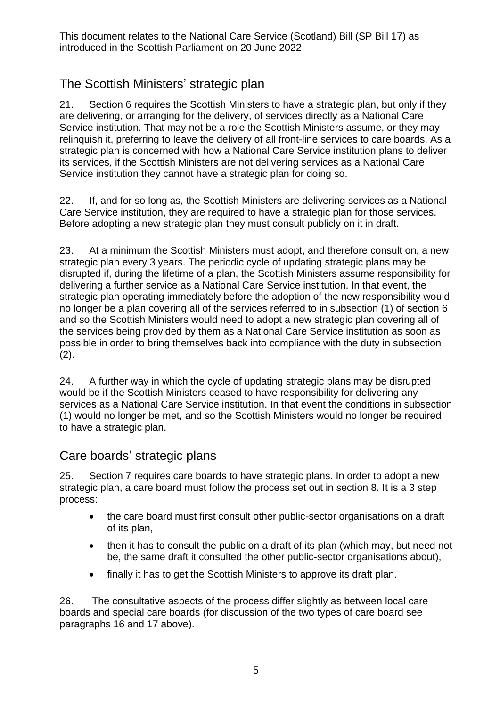## The Scottish Ministers' strategic plan

21. Section 6 requires the Scottish Ministers to have a strategic plan, but only if they are delivering, or arranging for the delivery, of services directly as a National Care Service institution. That may not be a role the Scottish Ministers assume, or they may relinquish it, preferring to leave the delivery of all front-line services to care boards. As a strategic plan is concerned with how a National Care Service institution plans to deliver its services, if the Scottish Ministers are not delivering services as a National Care Service institution they cannot have a strategic plan for doing so.

22. If, and for so long as, the Scottish Ministers are delivering services as a National Care Service institution, they are required to have a strategic plan for those services. Before adopting a new strategic plan they must consult publicly on it in draft.

<span id="page-4-0"></span>23. At a minimum the Scottish Ministers must adopt, and therefore consult on, a new strategic plan every 3 years. The periodic cycle of updating strategic plans may be disrupted if, during the lifetime of a plan, the Scottish Ministers assume responsibility for delivering a further service as a National Care Service institution. In that event, the strategic plan operating immediately before the adoption of the new responsibility would no longer be a plan covering all of the services referred to in subsection (1) of section 6 and so the Scottish Ministers would need to adopt a new strategic plan covering all of the services being provided by them as a National Care Service institution as soon as possible in order to bring themselves back into compliance with the duty in subsection  $(2).$ 

24. A further way in which the cycle of updating strategic plans may be disrupted would be if the Scottish Ministers ceased to have responsibility for delivering any services as a National Care Service institution. In that event the conditions in subsection (1) would no longer be met, and so the Scottish Ministers would no longer be required to have a strategic plan.

#### Care boards' strategic plans

25. Section 7 requires care boards to have strategic plans. In order to adopt a new strategic plan, a care board must follow the process set out in section 8. It is a 3 step process:

- the care board must first consult other public-sector organisations on a draft of its plan,
- then it has to consult the public on a draft of its plan (which may, but need not be, the same draft it consulted the other public-sector organisations about),
- finally it has to get the Scottish Ministers to approve its draft plan.

26. The consultative aspects of the process differ slightly as between local care boards and special care boards (for discussion of the two types of care board see paragraphs [16](#page-3-0) and [17](#page-3-1) above).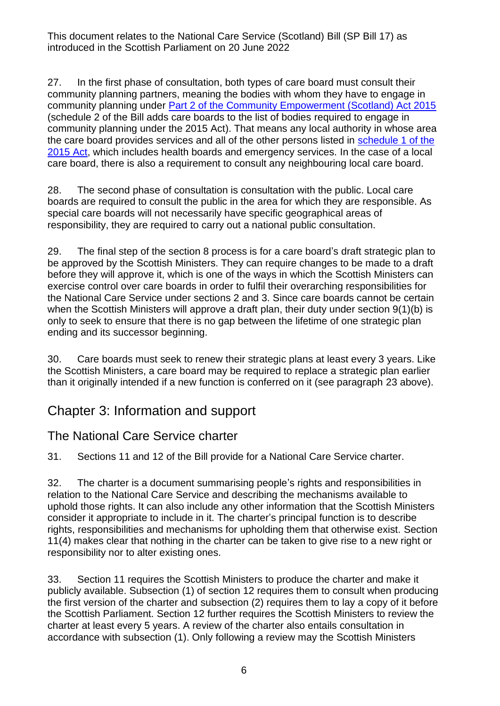27. In the first phase of consultation, both types of care board must consult their community planning partners, meaning the bodies with whom they have to engage in community planning under [Part 2 of the Community Empowerment \(Scotland\) Act 2015](https://www.legislation.gov.uk/asp/2015/6/part/2) (schedule 2 of the Bill adds care boards to the list of bodies required to engage in community planning under the 2015 Act). That means any local authority in whose area the care board provides services and all of the other persons listed in [schedule 1 of the](https://www.legislation.gov.uk/asp/2015/6/schedule/1)  [2015](https://www.legislation.gov.uk/asp/2015/6/schedule/1) Act, which includes health boards and emergency services. In the case of a local care board, there is also a requirement to consult any neighbouring local care board.

28. The second phase of consultation is consultation with the public. Local care boards are required to consult the public in the area for which they are responsible. As special care boards will not necessarily have specific geographical areas of responsibility, they are required to carry out a national public consultation.

29. The final step of the section 8 process is for a care board's draft strategic plan to be approved by the Scottish Ministers. They can require changes to be made to a draft before they will approve it, which is one of the ways in which the Scottish Ministers can exercise control over care boards in order to fulfil their overarching responsibilities for the National Care Service under sections 2 and 3. Since care boards cannot be certain when the Scottish Ministers will approve a draft plan, their duty under section 9(1)(b) is only to seek to ensure that there is no gap between the lifetime of one strategic plan ending and its successor beginning.

30. Care boards must seek to renew their strategic plans at least every 3 years. Like the Scottish Ministers, a care board may be required to replace a strategic plan earlier than it originally intended if a new function is conferred on it (see paragraph [23](#page-4-0) above).

## Chapter 3: Information and support

#### The National Care Service charter

31. Sections 11 and 12 of the Bill provide for a National Care Service charter.

32. The charter is a document summarising people's rights and responsibilities in relation to the National Care Service and describing the mechanisms available to uphold those rights. It can also include any other information that the Scottish Ministers consider it appropriate to include in it. The charter's principal function is to describe rights, responsibilities and mechanisms for upholding them that otherwise exist. Section 11(4) makes clear that nothing in the charter can be taken to give rise to a new right or responsibility nor to alter existing ones.

33. Section 11 requires the Scottish Ministers to produce the charter and make it publicly available. Subsection (1) of section 12 requires them to consult when producing the first version of the charter and subsection (2) requires them to lay a copy of it before the Scottish Parliament. Section 12 further requires the Scottish Ministers to review the charter at least every 5 years. A review of the charter also entails consultation in accordance with subsection (1). Only following a review may the Scottish Ministers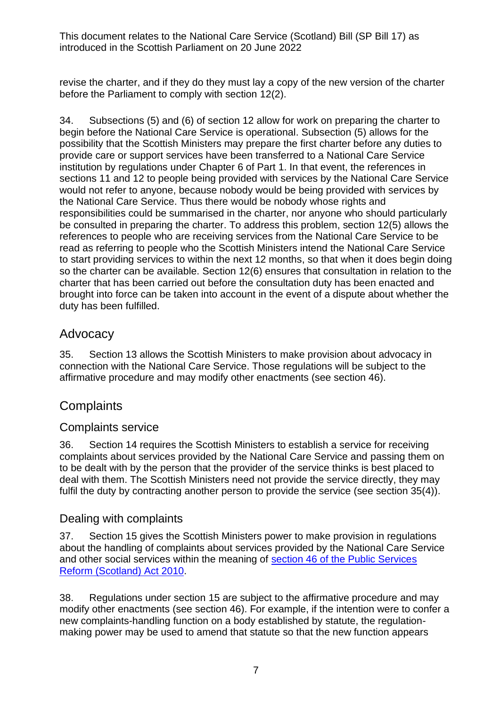revise the charter, and if they do they must lay a copy of the new version of the charter before the Parliament to comply with section 12(2).

34. Subsections (5) and (6) of section 12 allow for work on preparing the charter to begin before the National Care Service is operational. Subsection (5) allows for the possibility that the Scottish Ministers may prepare the first charter before any duties to provide care or support services have been transferred to a National Care Service institution by regulations under Chapter 6 of Part 1. In that event, the references in sections 11 and 12 to people being provided with services by the National Care Service would not refer to anyone, because nobody would be being provided with services by the National Care Service. Thus there would be nobody whose rights and responsibilities could be summarised in the charter, nor anyone who should particularly be consulted in preparing the charter. To address this problem, section 12(5) allows the references to people who are receiving services from the National Care Service to be read as referring to people who the Scottish Ministers intend the National Care Service to start providing services to within the next 12 months, so that when it does begin doing so the charter can be available. Section 12(6) ensures that consultation in relation to the charter that has been carried out before the consultation duty has been enacted and brought into force can be taken into account in the event of a dispute about whether the duty has been fulfilled.

#### **Advocacy**

35. Section 13 allows the Scottish Ministers to make provision about advocacy in connection with the National Care Service. Those regulations will be subject to the affirmative procedure and may modify other enactments (see section 46).

## **Complaints**

#### Complaints service

36. Section 14 requires the Scottish Ministers to establish a service for receiving complaints about services provided by the National Care Service and passing them on to be dealt with by the person that the provider of the service thinks is best placed to deal with them. The Scottish Ministers need not provide the service directly, they may fulfil the duty by contracting another person to provide the service (see section 35(4)).

#### Dealing with complaints

37. Section 15 gives the Scottish Ministers power to make provision in regulations about the handling of complaints about services provided by the National Care Service and other social services within the meaning of [section 46 of the Public Services](https://www.legislation.gov.uk/asp/2010/8/section/46) [Reform \(Scotland\) Act 2010.](https://www.legislation.gov.uk/asp/2010/8/section/46)

38. Regulations under section 15 are subject to the affirmative procedure and may modify other enactments (see section 46). For example, if the intention were to confer a new complaints-handling function on a body established by statute, the regulationmaking power may be used to amend that statute so that the new function appears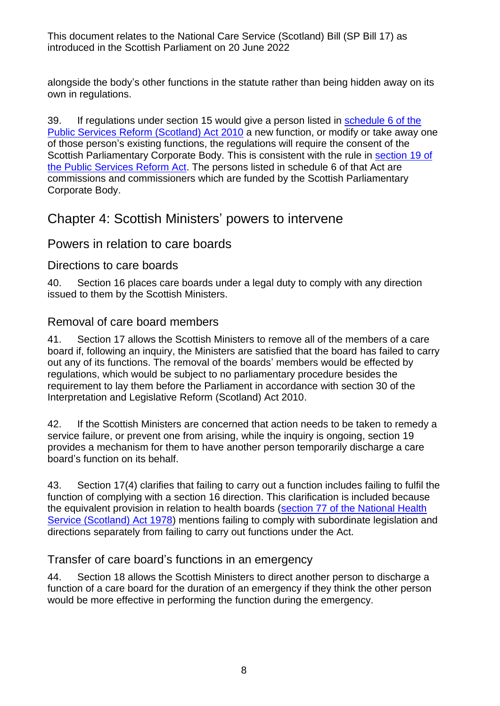alongside the body's other functions in the statute rather than being hidden away on its own in regulations.

39. If regulations under section 15 would give a person listed in schedule 6 of the Public Services [Reform \(Scotland\) Act 2010](https://www.legislation.gov.uk/asp/2010/8/schedule/6) a new function, or modify or take away one of those person's existing functions, the regulations will require the consent of the Scottish Parliamentary Corporate Body. This is consistent with the rule in [section 19 of](https://www.legislation.gov.uk/asp/2010/8/section/19)  [the Public Services Reform Act.](https://www.legislation.gov.uk/asp/2010/8/section/19) The persons listed in schedule 6 of that Act are commissions and commissioners which are funded by the Scottish Parliamentary Corporate Body.

## Chapter 4: Scottish Ministers' powers to intervene

#### Powers in relation to care boards

#### Directions to care boards

40. Section 16 places care boards under a legal duty to comply with any direction issued to them by the Scottish Ministers.

#### Removal of care board members

41. Section 17 allows the Scottish Ministers to remove all of the members of a care board if, following an inquiry, the Ministers are satisfied that the board has failed to carry out any of its functions. The removal of the boards' members would be effected by regulations, which would be subject to no parliamentary procedure besides the requirement to lay them before the Parliament in accordance with section 30 of the Interpretation and Legislative Reform (Scotland) Act 2010.

42. If the Scottish Ministers are concerned that action needs to be taken to remedy a service failure, or prevent one from arising, while the inquiry is ongoing, section 19 provides a mechanism for them to have another person temporarily discharge a care board's function on its behalf.

43. Section 17(4) clarifies that failing to carry out a function includes failing to fulfil the function of complying with a section 16 direction. This clarification is included because the equivalent provision in relation to health boards [\(section 77 of the National Health](https://www.legislation.gov.uk/ukpga/1978/29/section/77)  [Service \(Scotland\) Act 1978\)](https://www.legislation.gov.uk/ukpga/1978/29/section/77) mentions failing to comply with subordinate legislation and directions separately from failing to carry out functions under the Act.

#### Transfer of care board's functions in an emergency

44. Section 18 allows the Scottish Ministers to direct another person to discharge a function of a care board for the duration of an emergency if they think the other person would be more effective in performing the function during the emergency.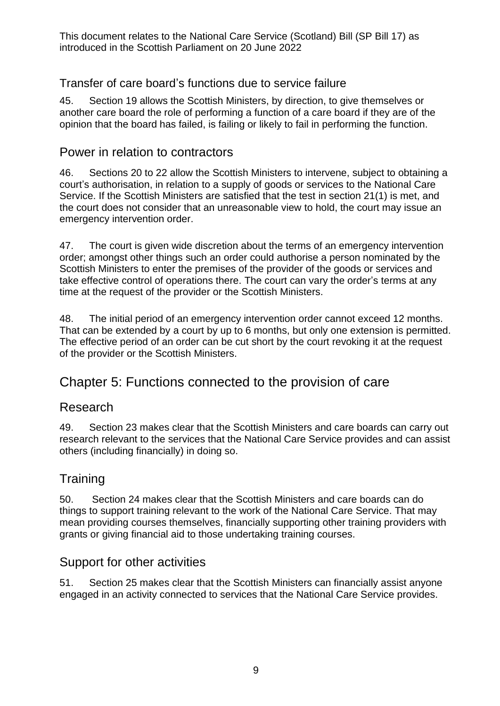#### Transfer of care board's functions due to service failure

45. Section 19 allows the Scottish Ministers, by direction, to give themselves or another care board the role of performing a function of a care board if they are of the opinion that the board has failed, is failing or likely to fail in performing the function.

#### Power in relation to contractors

46. Sections 20 to 22 allow the Scottish Ministers to intervene, subject to obtaining a court's authorisation, in relation to a supply of goods or services to the National Care Service. If the Scottish Ministers are satisfied that the test in section 21(1) is met, and the court does not consider that an unreasonable view to hold, the court may issue an emergency intervention order.

47. The court is given wide discretion about the terms of an emergency intervention order; amongst other things such an order could authorise a person nominated by the Scottish Ministers to enter the premises of the provider of the goods or services and take effective control of operations there. The court can vary the order's terms at any time at the request of the provider or the Scottish Ministers.

48. The initial period of an emergency intervention order cannot exceed 12 months. That can be extended by a court by up to 6 months, but only one extension is permitted. The effective period of an order can be cut short by the court revoking it at the request of the provider or the Scottish Ministers.

## Chapter 5: Functions connected to the provision of care

#### Research

49. Section 23 makes clear that the Scottish Ministers and care boards can carry out research relevant to the services that the National Care Service provides and can assist others (including financially) in doing so.

#### **Training**

50. Section 24 makes clear that the Scottish Ministers and care boards can do things to support training relevant to the work of the National Care Service. That may mean providing courses themselves, financially supporting other training providers with grants or giving financial aid to those undertaking training courses.

#### Support for other activities

51. Section 25 makes clear that the Scottish Ministers can financially assist anyone engaged in an activity connected to services that the National Care Service provides.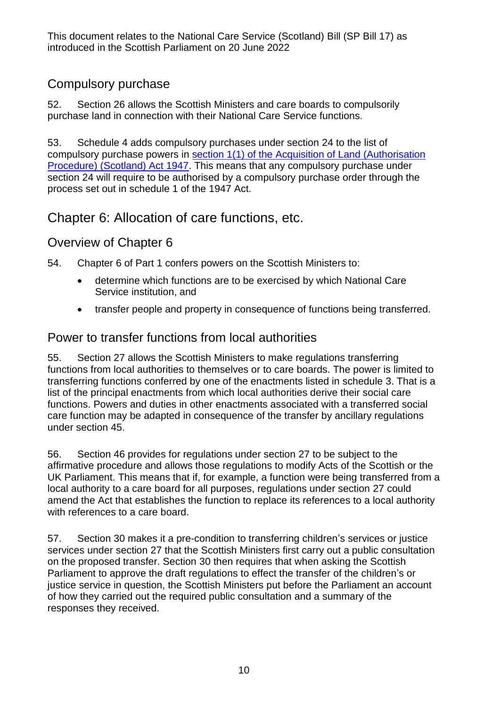## Compulsory purchase

52. Section 26 allows the Scottish Ministers and care boards to compulsorily purchase land in connection with their National Care Service functions.

53. Schedule 4 adds compulsory purchases under section 24 to the list of compulsory purchase powers in [section 1\(1\) of the Acquisition of Land \(Authorisation](https://www.legislation.gov.uk/ukpga/Geo6/10-11/42/section/1)  [Procedure\) \(Scotland\) Act 1947.](https://www.legislation.gov.uk/ukpga/Geo6/10-11/42/section/1) This means that any compulsory purchase under section 24 will require to be authorised by a compulsory purchase order through the process set out in schedule 1 of the 1947 Act.

## Chapter 6: Allocation of care functions, etc.

## Overview of Chapter 6

54. Chapter 6 of Part 1 confers powers on the Scottish Ministers to:

- determine which functions are to be exercised by which National Care Service institution, and
- transfer people and property in consequence of functions being transferred.

### Power to transfer functions from local authorities

55. Section 27 allows the Scottish Ministers to make regulations transferring functions from local authorities to themselves or to care boards. The power is limited to transferring functions conferred by one of the enactments listed in schedule 3. That is a list of the principal enactments from which local authorities derive their social care functions. Powers and duties in other enactments associated with a transferred social care function may be adapted in consequence of the transfer by ancillary regulations under section 45.

<span id="page-9-0"></span>56. Section 46 provides for regulations under section 27 to be subject to the affirmative procedure and allows those regulations to modify Acts of the Scottish or the UK Parliament. This means that if, for example, a function were being transferred from a local authority to a care board for all purposes, regulations under section 27 could amend the Act that establishes the function to replace its references to a local authority with references to a care board.

57. Section 30 makes it a pre-condition to transferring children's services or justice services under section 27 that the Scottish Ministers first carry out a public consultation on the proposed transfer. Section 30 then requires that when asking the Scottish Parliament to approve the draft regulations to effect the transfer of the children's or justice service in question, the Scottish Ministers put before the Parliament an account of how they carried out the required public consultation and a summary of the responses they received.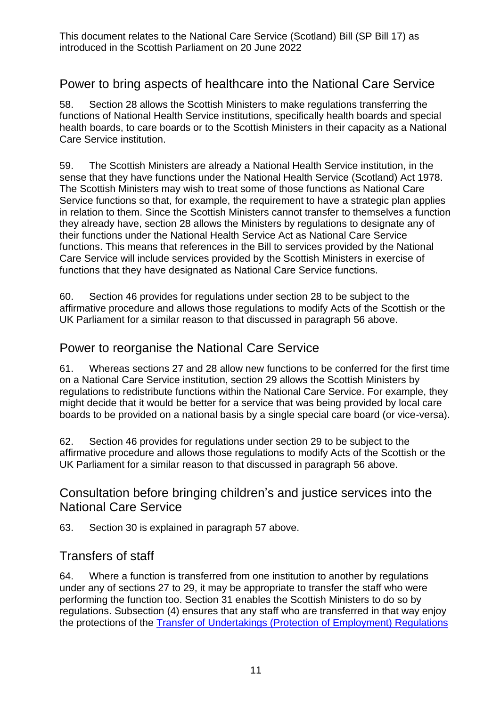#### Power to bring aspects of healthcare into the National Care Service

58. Section 28 allows the Scottish Ministers to make regulations transferring the functions of National Health Service institutions, specifically health boards and special health boards, to care boards or to the Scottish Ministers in their capacity as a National Care Service institution.

59. The Scottish Ministers are already a National Health Service institution, in the sense that they have functions under the National Health Service (Scotland) Act 1978. The Scottish Ministers may wish to treat some of those functions as National Care Service functions so that, for example, the requirement to have a strategic plan applies in relation to them. Since the Scottish Ministers cannot transfer to themselves a function they already have, section 28 allows the Ministers by regulations to designate any of their functions under the National Health Service Act as National Care Service functions. This means that references in the Bill to services provided by the National Care Service will include services provided by the Scottish Ministers in exercise of functions that they have designated as National Care Service functions.

60. Section 46 provides for regulations under section 28 to be subject to the affirmative procedure and allows those regulations to modify Acts of the Scottish or the UK Parliament for a similar reason to that discussed in paragraph [56](#page-9-0) above.

#### Power to reorganise the National Care Service

61. Whereas sections 27 and 28 allow new functions to be conferred for the first time on a National Care Service institution, section 29 allows the Scottish Ministers by regulations to redistribute functions within the National Care Service. For example, they might decide that it would be better for a service that was being provided by local care boards to be provided on a national basis by a single special care board (or vice-versa).

62. Section 46 provides for regulations under section 29 to be subject to the affirmative procedure and allows those regulations to modify Acts of the Scottish or the UK Parliament for a similar reason to that discussed in paragraph [56](#page-9-0) above.

#### Consultation before bringing children's and justice services into the National Care Service

63. Section 30 is explained in paragraph 57 above.

#### Transfers of staff

64. Where a function is transferred from one institution to another by regulations under any of sections 27 to 29, it may be appropriate to transfer the staff who were performing the function too. Section 31 enables the Scottish Ministers to do so by regulations. Subsection (4) ensures that any staff who are transferred in that way enjoy the protections of the [Transfer of Undertakings \(Protection of Employment\) Regulations](https://www.legislation.gov.uk/uksi/2006/246/contents/made)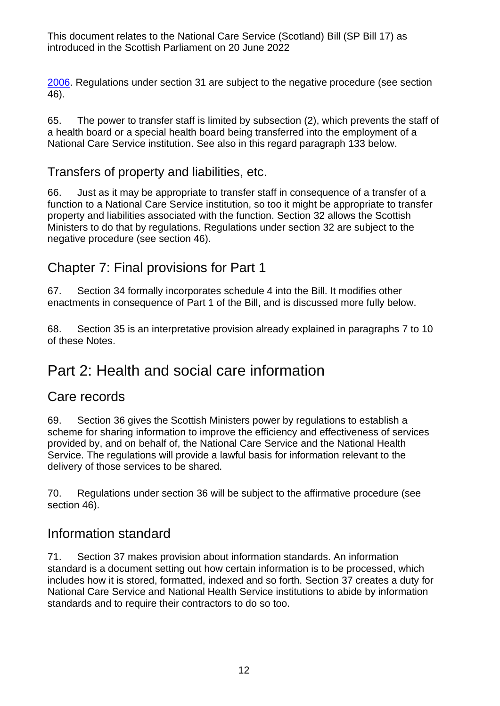[2006.](https://www.legislation.gov.uk/uksi/2006/246/contents/made) Regulations under section 31 are subject to the negative procedure (see section 46).

65. The power to transfer staff is limited by subsection (2), which prevents the staff of a health board or a special health board being transferred into the employment of a National Care Service institution. See also in this regard paragraph [133](#page-21-0) below.

#### Transfers of property and liabilities, etc.

66. Just as it may be appropriate to transfer staff in consequence of a transfer of a function to a National Care Service institution, so too it might be appropriate to transfer property and liabilities associated with the function. Section 32 allows the Scottish Ministers to do that by regulations. Regulations under section 32 are subject to the negative procedure (see section 46).

## Chapter 7: Final provisions for Part 1

67. Section 34 formally incorporates schedule 4 into the Bill. It modifies other enactments in consequence of Part 1 of the Bill, and is discussed more fully below.

68. Section 35 is an interpretative provision already explained in paragraphs [7](#page-1-0) to [10](#page-1-1) of these Notes.

## Part 2: Health and social care information

#### Care records

69. Section 36 gives the Scottish Ministers power by regulations to establish a scheme for sharing information to improve the efficiency and effectiveness of services provided by, and on behalf of, the National Care Service and the National Health Service. The regulations will provide a lawful basis for information relevant to the delivery of those services to be shared.

70. Regulations under section 36 will be subject to the affirmative procedure (see section 46).

#### Information standard

71. Section 37 makes provision about information standards. An information standard is a document setting out how certain information is to be processed, which includes how it is stored, formatted, indexed and so forth. Section 37 creates a duty for National Care Service and National Health Service institutions to abide by information standards and to require their contractors to do so too.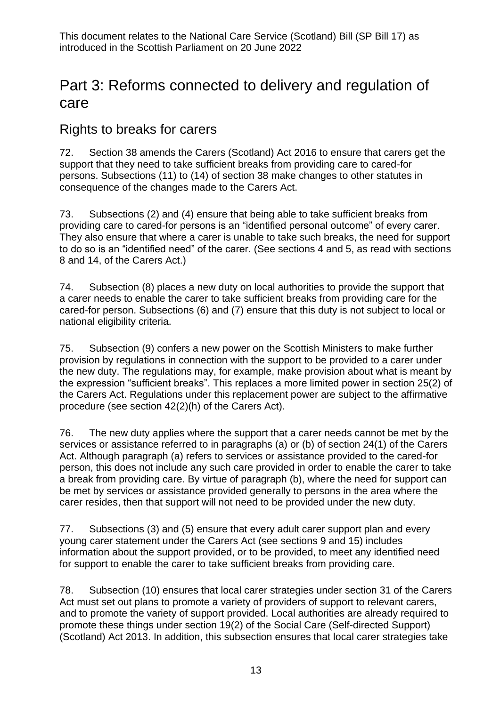## Part 3: Reforms connected to delivery and regulation of care

## Rights to breaks for carers

72. Section 38 amends the Carers (Scotland) Act 2016 to ensure that carers get the support that they need to take sufficient breaks from providing care to cared-for persons. Subsections (11) to (14) of section 38 make changes to other statutes in consequence of the changes made to the Carers Act.

73. Subsections (2) and (4) ensure that being able to take sufficient breaks from providing care to cared-for persons is an "identified personal outcome" of every carer. They also ensure that where a carer is unable to take such breaks, the need for support to do so is an "identified need" of the carer. (See sections 4 and 5, as read with sections 8 and 14, of the Carers Act.)

74. Subsection (8) places a new duty on local authorities to provide the support that a carer needs to enable the carer to take sufficient breaks from providing care for the cared-for person. Subsections (6) and (7) ensure that this duty is not subject to local or national eligibility criteria.

75. Subsection (9) confers a new power on the Scottish Ministers to make further provision by regulations in connection with the support to be provided to a carer under the new duty. The regulations may, for example, make provision about what is meant by the expression "sufficient breaks". This replaces a more limited power in section 25(2) of the Carers Act. Regulations under this replacement power are subject to the affirmative procedure (see section 42(2)(h) of the Carers Act).

76. The new duty applies where the support that a carer needs cannot be met by the services or assistance referred to in paragraphs (a) or (b) of section 24(1) of the Carers Act. Although paragraph (a) refers to services or assistance provided to the cared-for person, this does not include any such care provided in order to enable the carer to take a break from providing care. By virtue of paragraph (b), where the need for support can be met by services or assistance provided generally to persons in the area where the carer resides, then that support will not need to be provided under the new duty.

77. Subsections (3) and (5) ensure that every adult carer support plan and every young carer statement under the Carers Act (see sections 9 and 15) includes information about the support provided, or to be provided, to meet any identified need for support to enable the carer to take sufficient breaks from providing care.

78. Subsection (10) ensures that local carer strategies under section 31 of the Carers Act must set out plans to promote a variety of providers of support to relevant carers, and to promote the variety of support provided. Local authorities are already required to promote these things under section 19(2) of the Social Care (Self-directed Support) (Scotland) Act 2013. In addition, this subsection ensures that local carer strategies take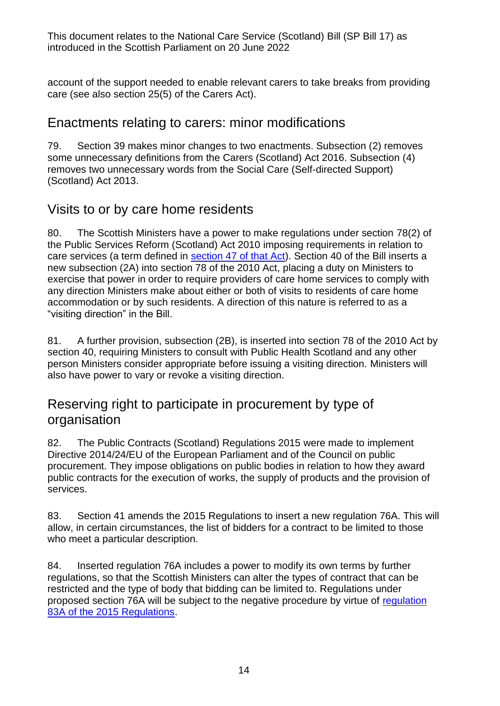account of the support needed to enable relevant carers to take breaks from providing care (see also section 25(5) of the Carers Act).

#### Enactments relating to carers: minor modifications

79. Section 39 makes minor changes to two enactments. Subsection (2) removes some unnecessary definitions from the Carers (Scotland) Act 2016. Subsection (4) removes two unnecessary words from the Social Care (Self-directed Support) (Scotland) Act 2013.

## Visits to or by care home residents

80. The Scottish Ministers have a power to make regulations under section 78(2) of the Public Services Reform (Scotland) Act 2010 imposing requirements in relation to care services (a term defined in [section 47 of that Act\)](https://www.legislation.gov.uk/asp/2010/8/section/47). Section 40 of the Bill inserts a new subsection (2A) into section 78 of the 2010 Act, placing a duty on Ministers to exercise that power in order to require providers of care home services to comply with any direction Ministers make about either or both of visits to residents of care home accommodation or by such residents. A direction of this nature is referred to as a "visiting direction" in the Bill.

81. A further provision, subsection (2B), is inserted into section 78 of the 2010 Act by section 40, requiring Ministers to consult with Public Health Scotland and any other person Ministers consider appropriate before issuing a visiting direction. Ministers will also have power to vary or revoke a visiting direction.

## Reserving right to participate in procurement by type of organisation

82. The Public Contracts (Scotland) Regulations 2015 were made to implement Directive 2014/24/EU of the European Parliament and of the Council on public procurement. They impose obligations on public bodies in relation to how they award public contracts for the execution of works, the supply of products and the provision of services.

83. Section 41 amends the 2015 Regulations to insert a new regulation 76A. This will allow, in certain circumstances, the list of bidders for a contract to be limited to those who meet a particular description.

84. Inserted regulation 76A includes a power to modify its own terms by further regulations, so that the Scottish Ministers can alter the types of contract that can be restricted and the type of body that bidding can be limited to. Regulations under proposed section 76A will be subject to the negative procedure by virtue of [regulation](https://www.legislation.gov.uk/ssi/2015/446/regulation/83A)  [83A of the 2015 Regulations.](https://www.legislation.gov.uk/ssi/2015/446/regulation/83A)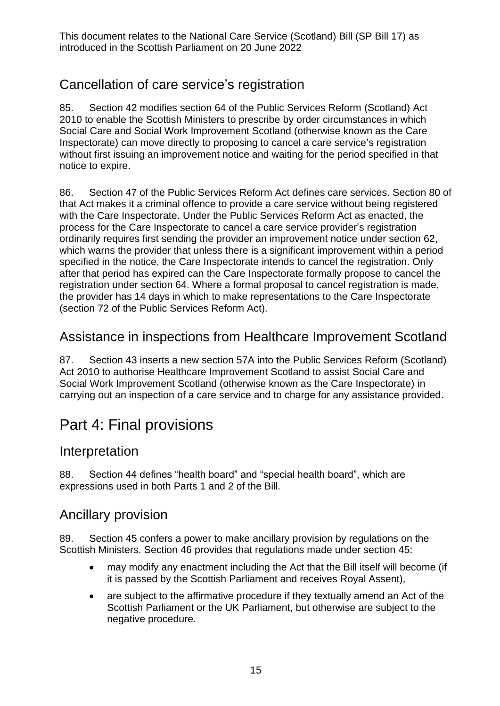## Cancellation of care service's registration

85. Section 42 modifies section 64 of the Public Services Reform (Scotland) Act 2010 to enable the Scottish Ministers to prescribe by order circumstances in which Social Care and Social Work Improvement Scotland (otherwise known as the Care Inspectorate) can move directly to proposing to cancel a care service's registration without first issuing an improvement notice and waiting for the period specified in that notice to expire.

86. Section 47 of the Public Services Reform Act defines care services. Section 80 of that Act makes it a criminal offence to provide a care service without being registered with the Care Inspectorate. Under the Public Services Reform Act as enacted, the process for the Care Inspectorate to cancel a care service provider's registration ordinarily requires first sending the provider an improvement notice under section 62, which warns the provider that unless there is a significant improvement within a period specified in the notice, the Care Inspectorate intends to cancel the registration. Only after that period has expired can the Care Inspectorate formally propose to cancel the registration under section 64. Where a formal proposal to cancel registration is made, the provider has 14 days in which to make representations to the Care Inspectorate (section 72 of the Public Services Reform Act).

## Assistance in inspections from Healthcare Improvement Scotland

87. Section 43 inserts a new section 57A into the Public Services Reform (Scotland) Act 2010 to authorise Healthcare Improvement Scotland to assist Social Care and Social Work Improvement Scotland (otherwise known as the Care Inspectorate) in carrying out an inspection of a care service and to charge for any assistance provided.

## Part 4: Final provisions

#### Interpretation

88. Section 44 defines "health board" and "special health board", which are expressions used in both Parts 1 and 2 of the Bill.

#### Ancillary provision

89. Section 45 confers a power to make ancillary provision by regulations on the Scottish Ministers. Section 46 provides that regulations made under section 45:

- may modify any enactment including the Act that the Bill itself will become (if it is passed by the Scottish Parliament and receives Royal Assent),
- are subject to the affirmative procedure if they textually amend an Act of the Scottish Parliament or the UK Parliament, but otherwise are subject to the negative procedure.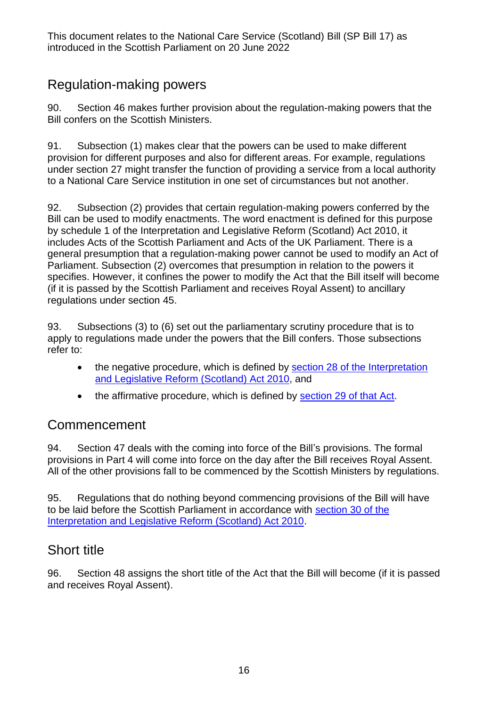## Regulation-making powers

90. Section 46 makes further provision about the regulation-making powers that the Bill confers on the Scottish Ministers.

91. Subsection (1) makes clear that the powers can be used to make different provision for different purposes and also for different areas. For example, regulations under section 27 might transfer the function of providing a service from a local authority to a National Care Service institution in one set of circumstances but not another.

92. Subsection (2) provides that certain regulation-making powers conferred by the Bill can be used to modify enactments. The word enactment is defined for this purpose by schedule 1 of the Interpretation and Legislative Reform (Scotland) Act 2010, it includes Acts of the Scottish Parliament and Acts of the UK Parliament. There is a general presumption that a regulation-making power cannot be used to modify an Act of Parliament. Subsection (2) overcomes that presumption in relation to the powers it specifies. However, it confines the power to modify the Act that the Bill itself will become (if it is passed by the Scottish Parliament and receives Royal Assent) to ancillary regulations under section 45.

93. Subsections (3) to (6) set out the parliamentary scrutiny procedure that is to apply to regulations made under the powers that the Bill confers. Those subsections refer to:

- the negative procedure, which is defined by section 28 of the Interpretation [and Legislative Reform \(Scotland\) Act 2010,](https://www.legislation.gov.uk/asp/2010/10/section/28) and
- the affirmative procedure, which is defined by [section 29 of that Act.](https://www.legislation.gov.uk/asp/2010/10/section/29)

#### Commencement

94. Section 47 deals with the coming into force of the Bill's provisions. The formal provisions in Part 4 will come into force on the day after the Bill receives Royal Assent. All of the other provisions fall to be commenced by the Scottish Ministers by regulations.

95. Regulations that do nothing beyond commencing provisions of the Bill will have to be laid before the Scottish Parliament in accordance with [section 30 of the](https://www.legislation.gov.uk/asp/2010/10/section/30)  [Interpretation and Legislative Reform \(Scotland\) Act 2010.](https://www.legislation.gov.uk/asp/2010/10/section/30)

## Short title

96. Section 48 assigns the short title of the Act that the Bill will become (if it is passed and receives Royal Assent).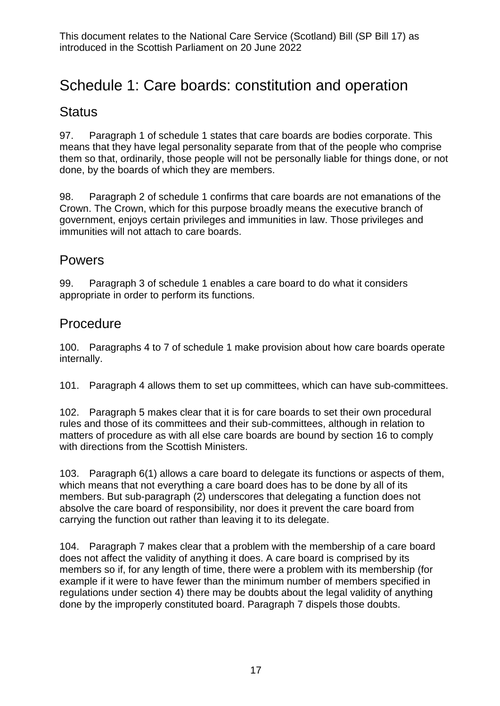## Schedule 1: Care boards: constitution and operation

#### **Status**

97. Paragraph 1 of schedule 1 states that care boards are bodies corporate. This means that they have legal personality separate from that of the people who comprise them so that, ordinarily, those people will not be personally liable for things done, or not done, by the boards of which they are members.

98. Paragraph 2 of schedule 1 confirms that care boards are not emanations of the Crown. The Crown, which for this purpose broadly means the executive branch of government, enjoys certain privileges and immunities in law. Those privileges and immunities will not attach to care boards.

#### Powers

99. Paragraph 3 of schedule 1 enables a care board to do what it considers appropriate in order to perform its functions.

#### Procedure

100. Paragraphs 4 to 7 of schedule 1 make provision about how care boards operate internally.

101. Paragraph 4 allows them to set up committees, which can have sub-committees.

102. Paragraph 5 makes clear that it is for care boards to set their own procedural rules and those of its committees and their sub-committees, although in relation to matters of procedure as with all else care boards are bound by section 16 to comply with directions from the Scottish Ministers.

103. Paragraph 6(1) allows a care board to delegate its functions or aspects of them, which means that not everything a care board does has to be done by all of its members. But sub-paragraph (2) underscores that delegating a function does not absolve the care board of responsibility, nor does it prevent the care board from carrying the function out rather than leaving it to its delegate.

104. Paragraph 7 makes clear that a problem with the membership of a care board does not affect the validity of anything it does. A care board is comprised by its members so if, for any length of time, there were a problem with its membership (for example if it were to have fewer than the minimum number of members specified in regulations under section 4) there may be doubts about the legal validity of anything done by the improperly constituted board. Paragraph 7 dispels those doubts.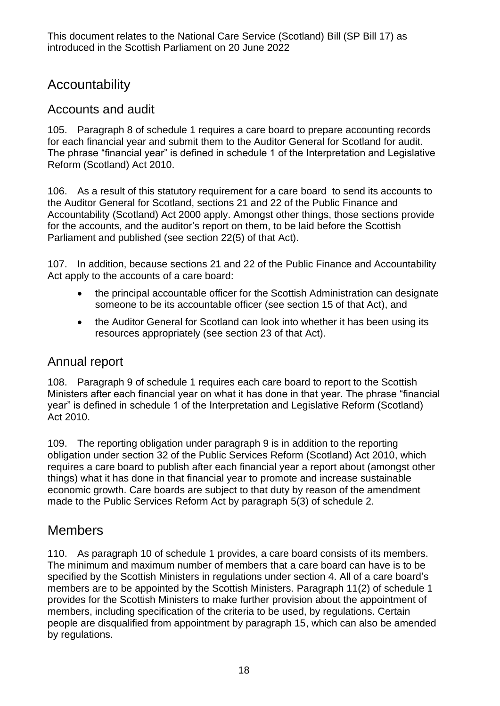## Accountability

#### Accounts and audit

105. Paragraph 8 of schedule 1 requires a care board to prepare accounting records for each financial year and submit them to the Auditor General for Scotland for audit. The phrase "financial year" is defined in schedule 1 of the Interpretation and Legislative Reform (Scotland) Act 2010.

106. As a result of this statutory requirement for a care board to send its accounts to the Auditor General for Scotland, sections 21 and 22 of the Public Finance and Accountability (Scotland) Act 2000 apply. Amongst other things, those sections provide for the accounts, and the auditor's report on them, to be laid before the Scottish Parliament and published (see section 22(5) of that Act).

107. In addition, because sections 21 and 22 of the Public Finance and Accountability Act apply to the accounts of a care board:

- the principal accountable officer for the Scottish Administration can designate someone to be its accountable officer (see section 15 of that Act), and
- the Auditor General for Scotland can look into whether it has been using its resources appropriately (see section 23 of that Act).

#### Annual report

108. Paragraph 9 of schedule 1 requires each care board to report to the Scottish Ministers after each financial year on what it has done in that year. The phrase "financial year" is defined in schedule 1 of the Interpretation and Legislative Reform (Scotland) Act 2010.

109. The reporting obligation under paragraph 9 is in addition to the reporting obligation under section 32 of the Public Services Reform (Scotland) Act 2010, which requires a care board to publish after each financial year a report about (amongst other things) what it has done in that financial year to promote and increase sustainable economic growth. Care boards are subject to that duty by reason of the amendment made to the Public Services Reform Act by paragraph 5(3) of schedule 2.

#### Members

110. As paragraph 10 of schedule 1 provides, a care board consists of its members. The minimum and maximum number of members that a care board can have is to be specified by the Scottish Ministers in regulations under section 4. All of a care board's members are to be appointed by the Scottish Ministers. Paragraph 11(2) of schedule 1 provides for the Scottish Ministers to make further provision about the appointment of members, including specification of the criteria to be used, by regulations. Certain people are disqualified from appointment by paragraph 15, which can also be amended by regulations.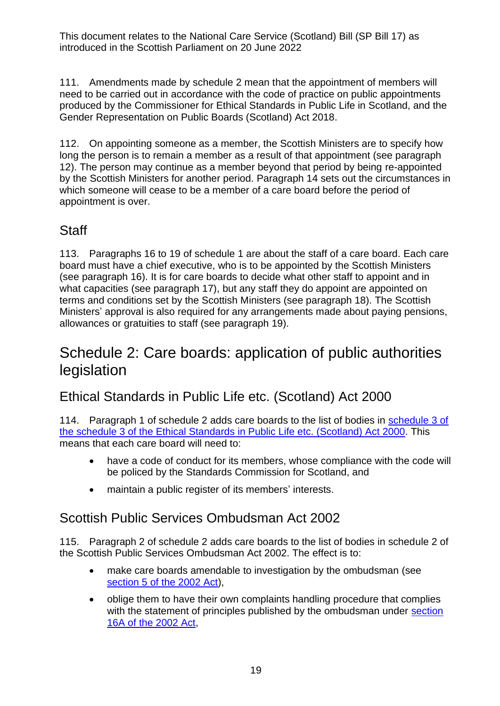111. Amendments made by schedule 2 mean that the appointment of members will need to be carried out in accordance with the code of practice on public appointments produced by the Commissioner for Ethical Standards in Public Life in Scotland, and the Gender Representation on Public Boards (Scotland) Act 2018.

112. On appointing someone as a member, the Scottish Ministers are to specify how long the person is to remain a member as a result of that appointment (see paragraph 12). The person may continue as a member beyond that period by being re-appointed by the Scottish Ministers for another period. Paragraph 14 sets out the circumstances in which someone will cease to be a member of a care board before the period of appointment is over.

## **Staff**

113. Paragraphs 16 to 19 of schedule 1 are about the staff of a care board. Each care board must have a chief executive, who is to be appointed by the Scottish Ministers (see paragraph 16). It is for care boards to decide what other staff to appoint and in what capacities (see paragraph 17), but any staff they do appoint are appointed on terms and conditions set by the Scottish Ministers (see paragraph 18). The Scottish Ministers' approval is also required for any arrangements made about paying pensions, allowances or gratuities to staff (see paragraph 19).

## Schedule 2: Care boards: application of public authorities legislation

## Ethical Standards in Public Life etc. (Scotland) Act 2000

114. Paragraph 1 of schedule 2 adds care boards to the list of bodies in [schedule 3 of](https://www.legislation.gov.uk/asp/2000/7/schedule/3)  the [schedule 3 of the Ethical Standards in Public Life etc. \(Scotland\) Act 2000.](https://www.legislation.gov.uk/asp/2000/7/schedule/3) This means that each care board will need to:

- have a code of conduct for its members, whose compliance with the code will be policed by the Standards Commission for Scotland, and
- maintain a public register of its members' interests.

## Scottish Public Services Ombudsman Act 2002

115. Paragraph 2 of schedule 2 adds care boards to the list of bodies in schedule 2 of the Scottish Public Services Ombudsman Act 2002. The effect is to:

- make care boards amendable to investigation by the ombudsman (see [section 5 of the 2002 Act\)](https://www.legislation.gov.uk/asp/2002/11/section/5),
- oblige them to have their own complaints handling procedure that complies with the statement of principles published by the ombudsman under section [16A of the 2002 Act,](https://www.legislation.gov.uk/asp/2002/11/section/16A)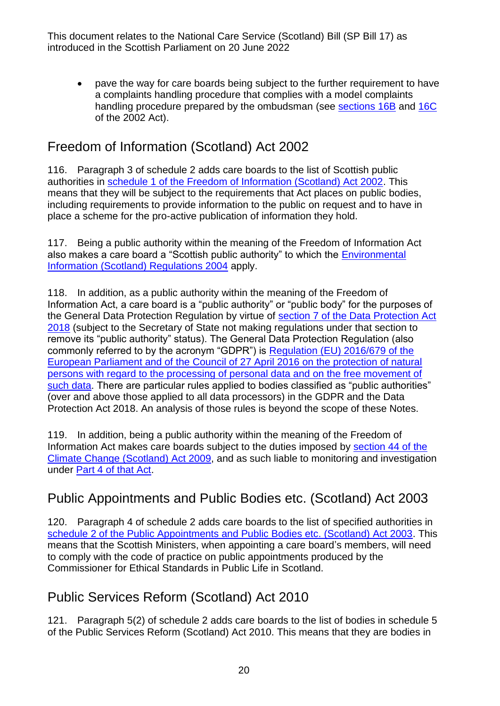• pave the way for care boards being subject to the further requirement to have a complaints handling procedure that complies with a model complaints handling procedure prepared by the ombudsman (see [sections 16B](https://www.legislation.gov.uk/asp/2002/11/section/16B) and [16C](https://www.legislation.gov.uk/asp/2002/11/section/16C) of the 2002 Act).

## Freedom of Information (Scotland) Act 2002

116. Paragraph 3 of schedule 2 adds care boards to the list of Scottish public authorities in [schedule 1 of the Freedom of Information \(Scotland\) Act 2002.](https://www.legislation.gov.uk/asp/2002/13/schedule/1) This means that they will be subject to the requirements that Act places on public bodies, including requirements to provide information to the public on request and to have in place a scheme for the pro-active publication of information they hold.

117. Being a public authority within the meaning of the Freedom of Information Act also makes a care board a "Scottish public authority" to which the [Environmental](https://www.legislation.gov.uk/ssi/2004/520/contents/made)  [Information \(Scotland\) Regulations 2004](https://www.legislation.gov.uk/ssi/2004/520/contents/made) apply.

118. In addition, as a public authority within the meaning of the Freedom of Information Act, a care board is a "public authority" or "public body" for the purposes of the General Data Protection Regulation by virtue of section 7 of the Data Protection Act [2018](https://www.legislation.gov.uk/ukpga/2018/12/section/7) (subject to the Secretary of State not making regulations under that section to remove its "public authority" status). The General Data Protection Regulation (also commonly referred to by the acronym "GDPR") is [Regulation \(EU\) 2016/679 of the](https://eur-lex.europa.eu/eli/reg/2016/679/oj)  [European Parliament and of the Council of 27 April 2016 on the protection of natural](https://eur-lex.europa.eu/eli/reg/2016/679/oj)  [persons with regard to the processing of personal data and on the free movement of](https://eur-lex.europa.eu/eli/reg/2016/679/oj)  [such data.](https://eur-lex.europa.eu/eli/reg/2016/679/oj) There are particular rules applied to bodies classified as "public authorities" (over and above those applied to all data processors) in the GDPR and the Data Protection Act 2018. An analysis of those rules is beyond the scope of these Notes.

119. In addition, being a public authority within the meaning of the Freedom of Information Act makes care boards subject to the duties imposed by [section 44 of the](https://www.legislation.gov.uk/asp/2009/12/section/44)  [Climate Change \(Scotland\) Act 2009,](https://www.legislation.gov.uk/asp/2009/12/section/44) and as such liable to monitoring and investigation under [Part 4 of that Act.](https://www.legislation.gov.uk/asp/2009/12/part/4)

## Public Appointments and Public Bodies etc. (Scotland) Act 2003

120. Paragraph 4 of schedule 2 adds care boards to the list of specified authorities in [schedule 2 of the Public Appointments and Public Bodies etc. \(Scotland\) Act 2003.](https://www.legislation.gov.uk/asp/2003/4/schedule/2) This means that the Scottish Ministers, when appointing a care board's members, will need to comply with the code of practice on public appointments produced by the Commissioner for Ethical Standards in Public Life in Scotland.

## Public Services Reform (Scotland) Act 2010

121. Paragraph 5(2) of schedule 2 adds care boards to the list of bodies in schedule 5 of the Public Services Reform (Scotland) Act 2010. This means that they are bodies in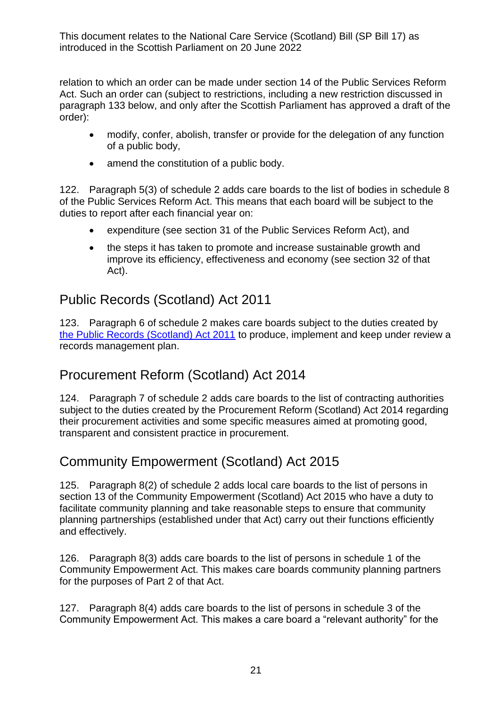relation to which an order can be made under section 14 of the Public Services Reform Act. Such an order can (subject to restrictions, including a new restriction discussed in paragraph [133](#page-21-0) below, and only after the Scottish Parliament has approved a draft of the order):

- modify, confer, abolish, transfer or provide for the delegation of any function of a public body,
- amend the constitution of a public body.

122. Paragraph 5(3) of schedule 2 adds care boards to the list of bodies in schedule 8 of the Public Services Reform Act. This means that each board will be subject to the duties to report after each financial year on:

- expenditure (see section 31 of the Public Services Reform Act), and
- the steps it has taken to promote and increase sustainable growth and improve its efficiency, effectiveness and economy (see section 32 of that Act).

### Public Records (Scotland) Act 2011

123. Paragraph 6 of schedule 2 makes care boards subject to the duties created by [the Public Records \(Scotland\) Act 2011](https://www.legislation.gov.uk/asp/2011/12/contents) to produce, implement and keep under review a records management plan.

## Procurement Reform (Scotland) Act 2014

124. Paragraph 7 of schedule 2 adds care boards to the list of contracting authorities subject to the duties created by the Procurement Reform (Scotland) Act 2014 regarding their procurement activities and some specific measures aimed at promoting good, transparent and consistent practice in procurement.

## Community Empowerment (Scotland) Act 2015

125. Paragraph 8(2) of schedule 2 adds local care boards to the list of persons in section 13 of the Community Empowerment (Scotland) Act 2015 who have a duty to facilitate community planning and take reasonable steps to ensure that community planning partnerships (established under that Act) carry out their functions efficiently and effectively.

126. Paragraph 8(3) adds care boards to the list of persons in schedule 1 of the Community Empowerment Act. This makes care boards community planning partners for the purposes of Part 2 of that Act.

127. Paragraph 8(4) adds care boards to the list of persons in schedule 3 of the Community Empowerment Act. This makes a care board a "relevant authority" for the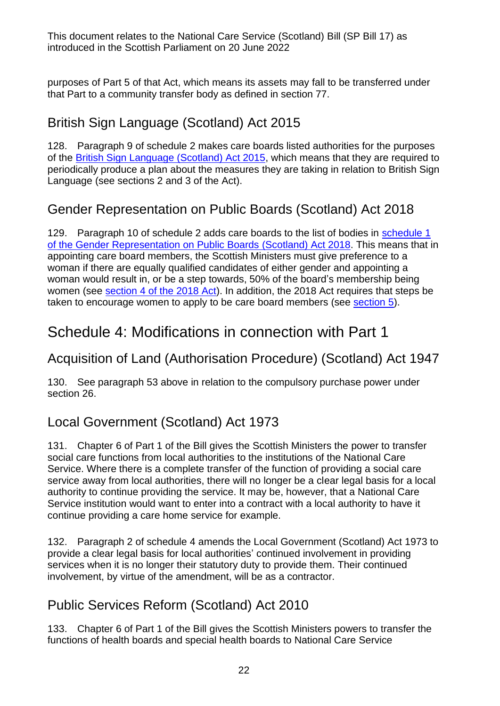purposes of Part 5 of that Act, which means its assets may fall to be transferred under that Part to a community transfer body as defined in section 77.

## British Sign Language (Scotland) Act 2015

128. Paragraph 9 of schedule 2 makes care boards listed authorities for the purposes of the [British Sign Language \(Scotland\) Act 2015,](https://www.legislation.gov.uk/asp/2015/11) which means that they are required to periodically produce a plan about the measures they are taking in relation to British Sign Language (see sections 2 and 3 of the Act).

## Gender Representation on Public Boards (Scotland) Act 2018

129. Paragraph 10 of schedule 2 adds care boards to the list of bodies in schedule 1 [of the Gender Representation on Public Boards \(Scotland\) Act 2018.](https://www.legislation.gov.uk/asp/2018/4/schedule/1) This means that in appointing care board members, the Scottish Ministers must give preference to a woman if there are equally qualified candidates of either gender and appointing a woman would result in, or be a step towards, 50% of the board's membership being women (see [section 4 of the 2018 Act\)](https://www.legislation.gov.uk/asp/2018/4/section/4). In addition, the 2018 Act requires that steps be taken to encourage women to apply to be care board members (see [section](https://www.legislation.gov.uk/asp/2018/4/section/5) 5).

## Schedule 4: Modifications in connection with Part 1

## Acquisition of Land (Authorisation Procedure) (Scotland) Act 1947

130. See paragraph 53 above in relation to the compulsory purchase power under section 26.

## Local Government (Scotland) Act 1973

131. Chapter 6 of Part 1 of the Bill gives the Scottish Ministers the power to transfer social care functions from local authorities to the institutions of the National Care Service. Where there is a complete transfer of the function of providing a social care service away from local authorities, there will no longer be a clear legal basis for a local authority to continue providing the service. It may be, however, that a National Care Service institution would want to enter into a contract with a local authority to have it continue providing a care home service for example.

132. Paragraph 2 of schedule 4 amends the Local Government (Scotland) Act 1973 to provide a clear legal basis for local authorities' continued involvement in providing services when it is no longer their statutory duty to provide them. Their continued involvement, by virtue of the amendment, will be as a contractor.

## Public Services Reform (Scotland) Act 2010

<span id="page-21-0"></span>133. Chapter 6 of Part 1 of the Bill gives the Scottish Ministers powers to transfer the functions of health boards and special health boards to National Care Service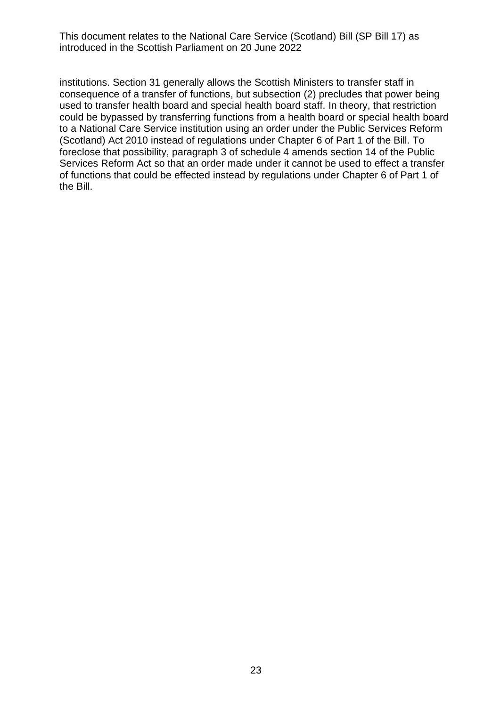institutions. Section 31 generally allows the Scottish Ministers to transfer staff in consequence of a transfer of functions, but subsection (2) precludes that power being used to transfer health board and special health board staff. In theory, that restriction could be bypassed by transferring functions from a health board or special health board to a National Care Service institution using an order under the Public Services Reform (Scotland) Act 2010 instead of regulations under Chapter 6 of Part 1 of the Bill. To foreclose that possibility, paragraph 3 of schedule 4 amends section 14 of the Public Services Reform Act so that an order made under it cannot be used to effect a transfer of functions that could be effected instead by regulations under Chapter 6 of Part 1 of the Bill.